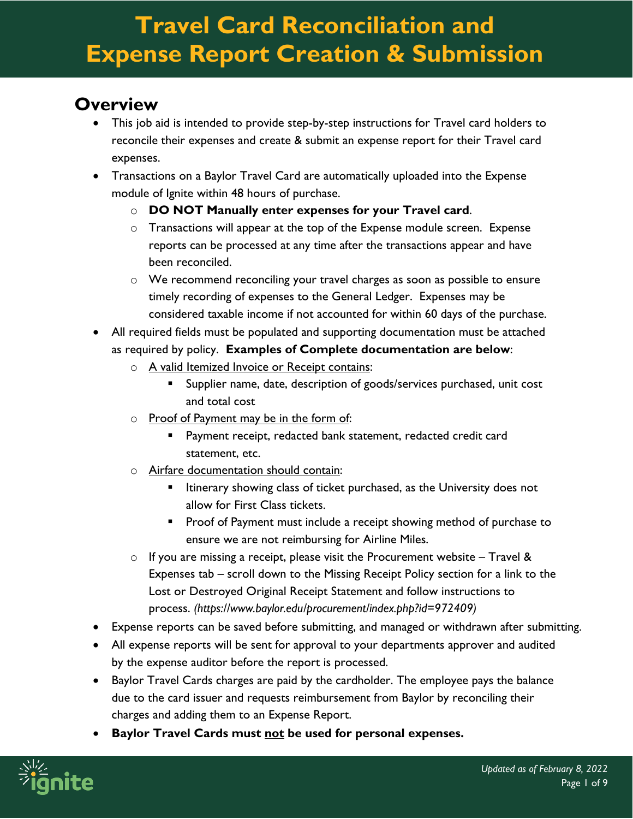#### **Overview**

- This job aid is intended to provide step-by-step instructions for Travel card holders to reconcile their expenses and create & submit an expense report for their Travel card expenses.
- Transactions on a Baylor Travel Card are automatically uploaded into the Expense module of Ignite within 48 hours of purchase.
	- o **DO NOT Manually enter expenses for your Travel card**.
	- o Transactions will appear at the top of the Expense module screen. Expense reports can be processed at any time after the transactions appear and have been reconciled.
	- o We recommend reconciling your travel charges as soon as possible to ensure timely recording of expenses to the General Ledger. Expenses may be considered taxable income if not accounted for within 60 days of the purchase.
- All required fields must be populated and supporting documentation must be attached as required by policy. **Examples of Complete documentation are below**:
	- o A valid Itemized Invoice or Receipt contains:
		- **Supplier name, date, description of goods/services purchased, unit cost** and total cost
	- o Proof of Payment may be in the form of:
		- Payment receipt, redacted bank statement, redacted credit card statement, etc.
	- o Airfare documentation should contain:
		- **Itinerary showing class of ticket purchased, as the University does not** allow for First Class tickets.
		- **Proof of Payment must include a receipt showing method of purchase to** ensure we are not reimbursing for Airline Miles.
	- $\circ$  If you are missing a receipt, please visit the Procurement website Travel & Expenses tab – scroll down to the Missing Receipt Policy section for a link to the Lost or Destroyed Original Receipt Statement and follow instructions to process. *(https://www.baylor.edu/procurement/index.php?id=972409)*
- Expense reports can be saved before submitting, and managed or withdrawn after submitting.
- All expense reports will be sent for approval to your departments approver and audited by the expense auditor before the report is processed.
- Baylor Travel Cards charges are paid by the cardholder. The employee pays the balance due to the card issuer and requests reimbursement from Baylor by reconciling their charges and adding them to an Expense Report.
- **Baylor Travel Cards must not be used for personal expenses.**

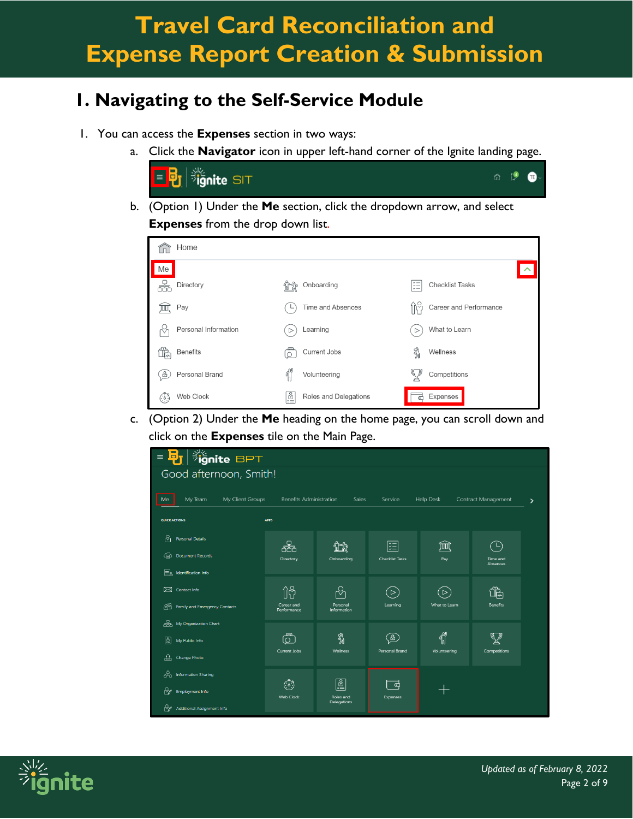### **1. Navigating to the Self-Service Module**

- 1. You can access the **Expenses** section in two ways:
	- a. Click the **Navigator** icon in upper left-hand corner of the Ignite landing page.



b. (Option 1) Under the **Me** section, click the dropdown arrow, and select **Expenses** from the drop down list.

| Home                 |                             |                                                     |
|----------------------|-----------------------------|-----------------------------------------------------|
| Me                   |                             |                                                     |
| Directory            | Onboarding                  | <b>Checklist Tasks</b><br>$\check{\mathfrak{c}}\Xi$ |
| Pay<br>ℼ             | Time and Absences           | Career and Performance                              |
| Personal Information | Learning                    | What to Learn<br>$\triangleright$                   |
| <b>Benefits</b><br>⊯ | Current Jobs<br>С           | ℁<br>Wellness                                       |
| Personal Brand<br>8  | Volunteering                | Competitions                                        |
| Web Clock<br>602     | l≌<br>Roles and Delegations | Expenses                                            |

c. (Option 2) Under the **Me** heading on the home page, you can scroll down and click on the **Expenses** tile on the Main Page.

| <b>B<sub>J</sub></b> ignite BPT<br>$\equiv$ |                                |                               |                        |                  |                            |   |
|---------------------------------------------|--------------------------------|-------------------------------|------------------------|------------------|----------------------------|---|
| Good afternoon, Smith!                      |                                |                               |                        |                  |                            |   |
| My Client Groups<br>My Team<br>Me           | <b>Benefits Administration</b> | Sales                         | Service                | <b>Help Desk</b> | <b>Contract Management</b> | ⋗ |
| <b>QUICK ACTIONS</b>                        | <b>APPS</b>                    |                               |                        |                  |                            |   |
| ႙ၟ<br><b>Personal Details</b>               | 品                              |                               | 距                      | JΦ               | ்ட                         |   |
| க<br><b>Document Records</b>                | Directory                      | Onboarding                    | <b>Checklist Tasks</b> | Pay              | Time and<br>Absences       |   |
| Er<br>Identification Info                   |                                |                               |                        |                  |                            |   |
| ⊠<br>Contact Info                           | $\hat{\Pi}$                    | ℅                             | $\,>\,$                | $\triangleright$ | $\mathbb R$                |   |
| කී<br>Family and Emergency Contacts         | Career and<br>Performance      | Personal<br>Information       | Learning               | What to Learn    | <b>Benefits</b>            |   |
| කිං<br>My Organization Chart                |                                |                               |                        |                  |                            |   |
| ब्र<br>My Public Info                       | ௹                              | श्रै<br>श्र                   | ිසි                    | <b>T</b>         | D)                         |   |
| 땅<br>Change Photo                           | Current Jobs                   | Wellness                      | Personal Brand         | Volunteering     | Competitions               |   |
| ఊ<br>Information Sharing                    |                                |                               |                        |                  |                            |   |
| ₩<br>Employment Info                        | (٩)<br>Web Clock               | 圖<br>Roles and<br>Delegations | ಕ<br>Expenses          |                  |                            |   |
| ₩<br><b>Additional Assignment Info</b>      |                                |                               |                        |                  |                            |   |

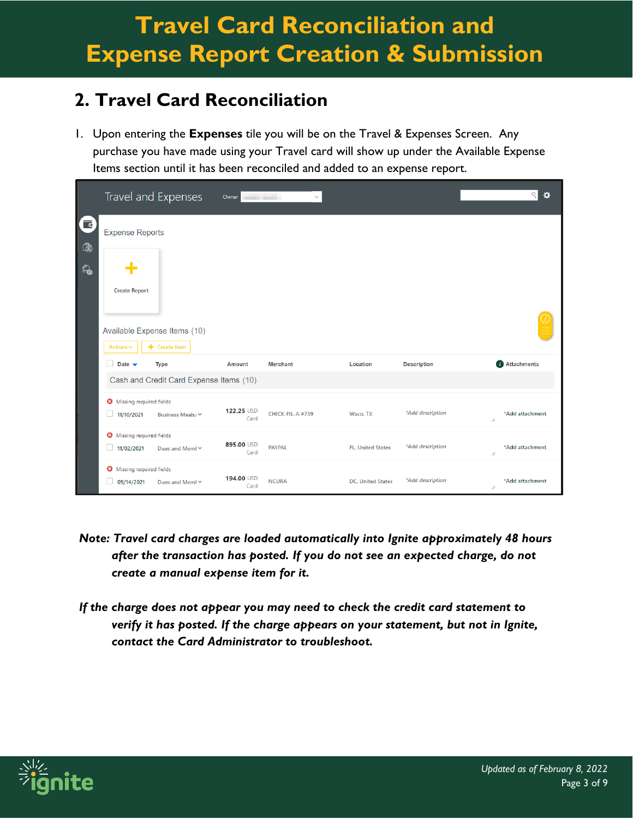### **2. Travel Card Reconciliation**

1. Upon entering the **Expenses** tile you will be on the Travel & Expenses Screen. Any purchase you have made using your Travel card will show up under the Available Expense Items section until it has been reconciled and added to an expense report.

|                         |                                             | Travel and Expenses                             |                    | Owner<br>$\checkmark$ |                           |                    | $Q_{\rm c}$          | $\ddot{\alpha}$ |
|-------------------------|---------------------------------------------|-------------------------------------------------|--------------------|-----------------------|---------------------------|--------------------|----------------------|-----------------|
| G<br>$\bar{\mathbb{Q}}$ | <b>Expense Reports</b>                      |                                                 |                    |                       |                           |                    |                      |                 |
| $\mathbb{Q}$            |                                             |                                                 |                    |                       |                           |                    |                      |                 |
|                         | <b>Create Report</b>                        |                                                 |                    |                       |                           |                    |                      |                 |
|                         | Actions $\vee$                              | Available Expense Items (10)<br>$+$ Create Item |                    |                       |                           |                    |                      |                 |
|                         | l.<br>Date $\rightarrow$                    | <b>Type</b>                                     | <b>Amount</b>      | <b>Merchant</b>       | Location                  | <b>Description</b> | Attachments          |                 |
|                         |                                             | Cash and Credit Card Expense Items (10)         |                    |                       |                           |                    |                      |                 |
|                         | Missing required fields<br>11/10/2021<br>w  | Business Meals/ Y                               | 122.25 USD<br>Card | CHICK-FIL-A #739      | Waco, TX                  | *Add description   | *Add attachment<br>4 |                 |
|                         | Missing required fields<br>11/02/2021<br>w  | Dues and Meml Y                                 | 895.00 USD<br>Card | <b>PAYPAL</b>         | <b>FL. United States</b>  | *Add description   | *Add attachment<br>4 |                 |
|                         | Missing required fields<br>09/14/2021<br>H. | Dues and Meml Y                                 | 194.00 USD<br>Card | <b>NCURA</b>          | <b>DC</b> , United States | *Add description   | *Add attachment<br>4 |                 |

- *Note: Travel card charges are loaded automatically into Ignite approximately 48 hours after the transaction has posted. If you do not see an expected charge, do not create a manual expense item for it.*
- *If the charge does not appear you may need to check the credit card statement to verify it has posted. If the charge appears on your statement, but not in Ignite, contact the Card Administrator to troubleshoot.*

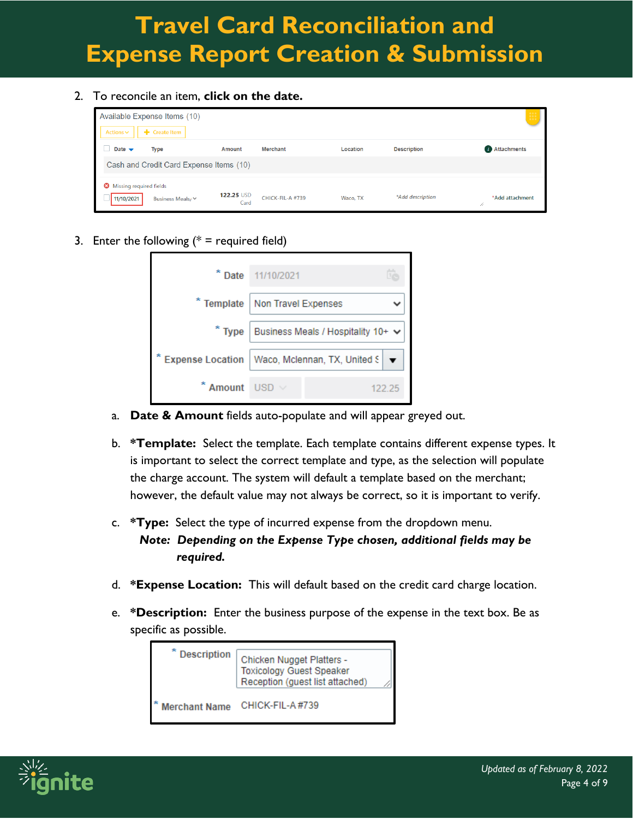2. To reconcile an item, **click on the date.**

| Available Expense Items (10)<br>Actions $\vee$ | + Create Item                           |                    |                  |          |                    |                      |
|------------------------------------------------|-----------------------------------------|--------------------|------------------|----------|--------------------|----------------------|
| Date $\rightarrow$                             | Type                                    | Amount             | <b>Merchant</b>  | Location | <b>Description</b> | <b>Attachments</b>   |
|                                                | Cash and Credit Card Expense Items (10) |                    |                  |          |                    |                      |
| Missing required fields<br>11/10/2021          | Business Meals/ Y                       | 122.25 USD<br>Card | CHICK-FIL-A #739 | Waco, TX | *Add description   | *Add attachment<br>4 |

3. Enter the following  $(* =$  required field)

| ×                       | Date 11/10/2021                         |        |
|-------------------------|-----------------------------------------|--------|
|                         | * Template   Non Travel Expenses        |        |
| $*$ Type                | Business Meals / Hospitality 10+ $\vee$ |        |
| <b>Expense Location</b> | Waco, Mclennan, TX, United S            |        |
| Amount                  | <b>LISD</b>                             | 122.25 |

- a. **Date & Amount** fields auto-populate and will appear greyed out.
- b. **\*Template:** Select the template. Each template contains different expense types. It is important to select the correct template and type, as the selection will populate the charge account. The system will default a template based on the merchant; however, the default value may not always be correct, so it is important to verify.
- c. **\*Type:** Select the type of incurred expense from the dropdown menu. *Note: Depending on the Expense Type chosen, additional fields may be required.*
- d. **\*Expense Location:** This will default based on the credit card charge location.
- e. **\*Description:** Enter the business purpose of the expense in the text box. Be as specific as possible.



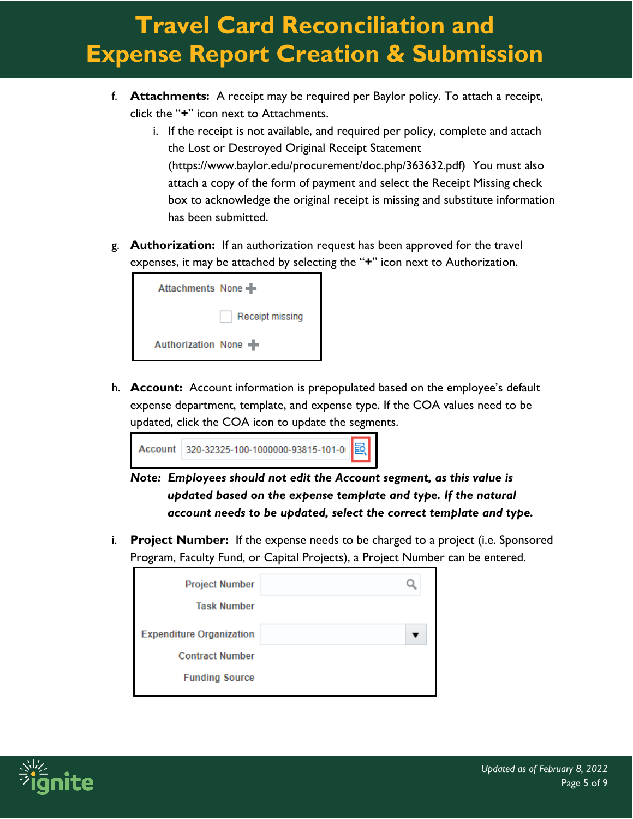- f. **Attachments:** A receipt may be required per Baylor policy. To attach a receipt, click the "**+**" icon next to Attachments.
	- i. If the receipt is not available, and required per policy, complete and attach the Lost or Destroyed Original Receipt Statement (https://www.baylor.edu/procurement/doc.php/363632.pdf) You must also attach a copy of the form of payment and select the Receipt Missing check box to acknowledge the original receipt is missing and substitute information has been submitted.
- g. **Authorization:** If an authorization request has been approved for the travel expenses, it may be attached by selecting the "**+**" icon next to Authorization.



h. **Account:** Account information is prepopulated based on the employee's default expense department, template, and expense type. If the COA values need to be updated, click the COA icon to update the segments.



*Note: Employees should not edit the Account segment, as this value is updated based on the expense template and type. If the natural account needs to be updated, select the correct template and type.*

i. **Project Number:** If the expense needs to be charged to a project (i.e. Sponsored Program, Faculty Fund, or Capital Projects), a Project Number can be entered.

| <b>Project Number</b>           |  |
|---------------------------------|--|
| <b>Task Number</b>              |  |
| <b>Expenditure Organization</b> |  |
| <b>Contract Number</b>          |  |
| <b>Funding Source</b>           |  |

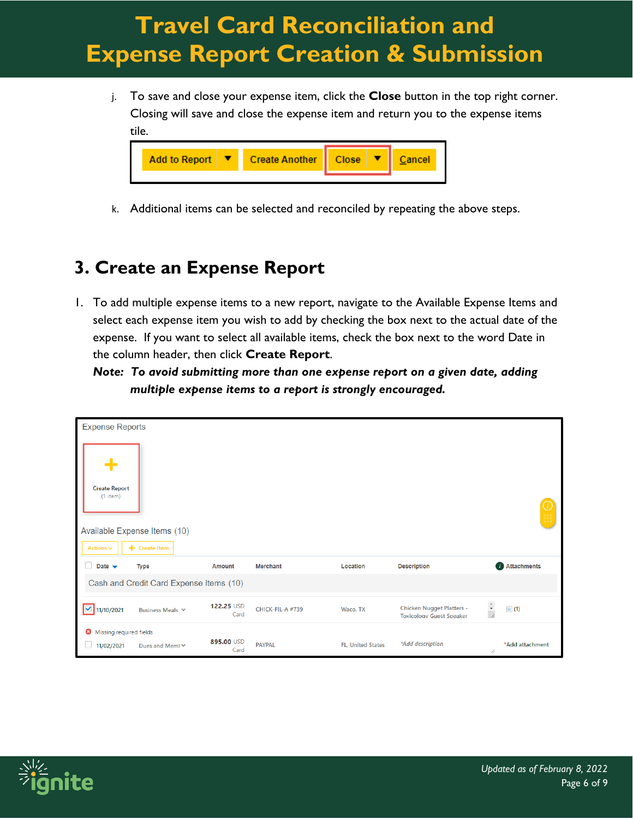j. To save and close your expense item, click the **Close** button in the top right corner. Closing will save and close the expense item and return you to the expense items tile.



k. Additional items can be selected and reconciled by repeating the above steps.

### **3. Create an Expense Report**

1. To add multiple expense items to a new report, navigate to the Available Expense Items and select each expense item you wish to add by checking the box next to the actual date of the expense. If you want to select all available items, check the box next to the word Date in the column header, then click **Create Report**.

*Note: To avoid submitting more than one expense report on a given date, adding multiple expense items to a report is strongly encouraged.*

| <b>Expense Reports</b>                                      |                                               |                    |                  |                          |                                                                     |                                      |
|-------------------------------------------------------------|-----------------------------------------------|--------------------|------------------|--------------------------|---------------------------------------------------------------------|--------------------------------------|
| <b>Create Report</b><br>$(1$ item)<br>Actions $\smallsmile$ | Available Expense Items (10)<br>+ Create Item |                    |                  |                          |                                                                     |                                      |
| Date $\rightarrow$                                          | <b>Type</b>                                   | <b>Amount</b>      | <b>Merchant</b>  | Location                 | <b>Description</b>                                                  | <i>i</i> Attachments                 |
|                                                             | Cash and Credit Card Expense Items (10)       |                    |                  |                          |                                                                     |                                      |
| 11/10/2021<br>▽                                             | Business Meals Y                              | 122.25 USD<br>Card | CHICK-FIL-A #739 | Waco, TX                 | <b>Chicken Nugget Platters -</b><br><b>Toxicology Guest Speaker</b> | $\frac{1}{\sqrt{2}}$<br>$\equiv$ (1) |
| Missing required fields<br>11/02/2021                       | Dues and Meml Y                               | 895.00 USD<br>Card | <b>PAYPAL</b>    | <b>FL, United States</b> | *Add description                                                    | *Add attachment<br>h                 |

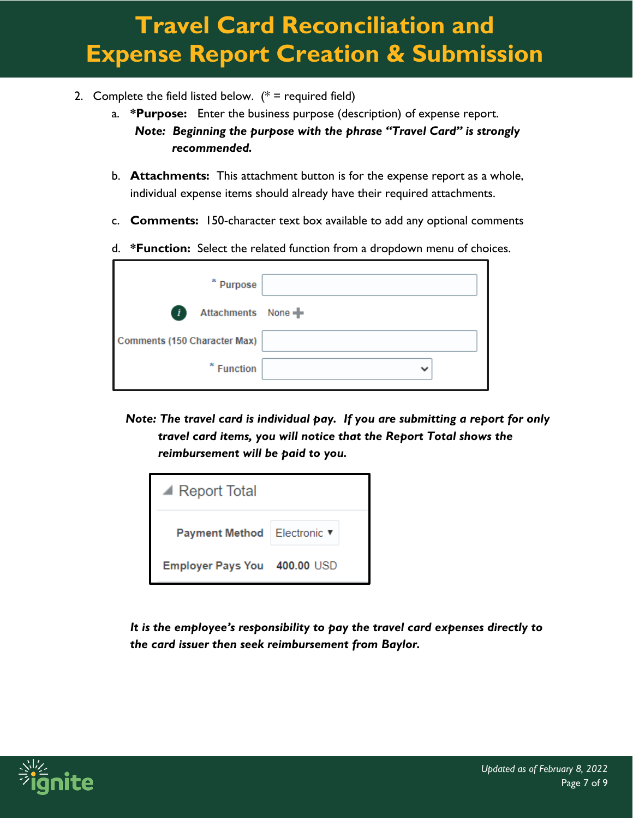- 2. Complete the field listed below.  $(* =$  required field)
	- a. **\*Purpose:** Enter the business purpose (description) of expense report. *Note: Beginning the purpose with the phrase "Travel Card" is strongly recommended.*
	- b. **Attachments:** This attachment button is for the expense report as a whole, individual expense items should already have their required attachments.
	- c. **Comments:** 150-character text box available to add any optional comments
	- d. **\*Function:** Select the related function from a dropdown menu of choices.

| * Purpose                           |  |
|-------------------------------------|--|
| $\mathbf{r}$<br>Attachments None    |  |
| <b>Comments (150 Character Max)</b> |  |
| * Function                          |  |

*Note: The travel card is individual pay. If you are submitting a report for only travel card items, you will notice that the Report Total shows the reimbursement will be paid to you.*



*It is the employee's responsibility to pay the travel card expenses directly to the card issuer then seek reimbursement from Baylor.*

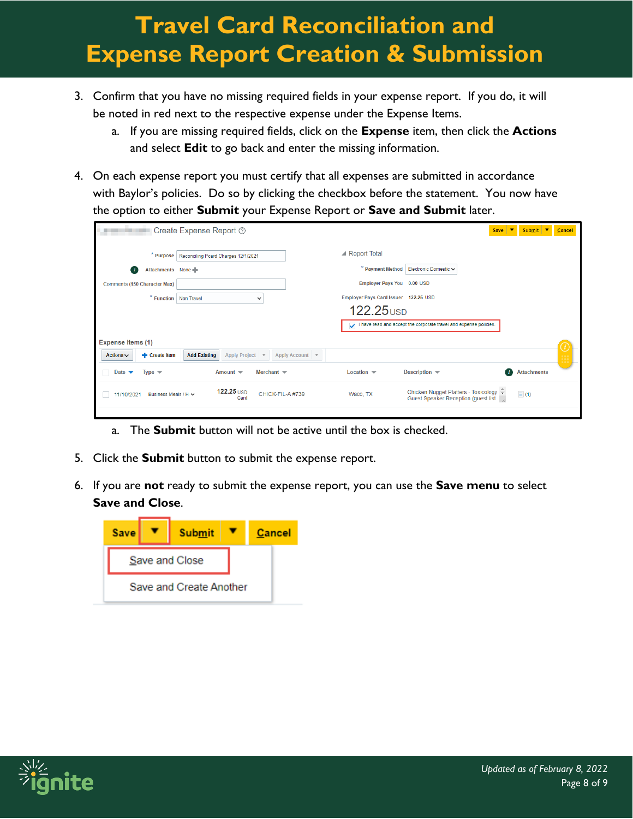- 3. Confirm that you have no missing required fields in your expense report. If you do, it will be noted in red next to the respective expense under the Expense Items.
	- a. If you are missing required fields, click on the **Expense** item, then click the **Actions** and select **Edit** to go back and enter the missing information.
- 4. On each expense report you must certify that all expenses are submitted in accordance with Baylor's policies. Do so by clicking the checkbox before the statement. You now have the option to either **Submit** your Expense Report or **Save and Submit** later.

|                                                         | Create Expense Report 2                                                 |                                      | <b>Save</b>                                                                              | Submit $\blacktriangledown$<br>−   | Cancel        |
|---------------------------------------------------------|-------------------------------------------------------------------------|--------------------------------------|------------------------------------------------------------------------------------------|------------------------------------|---------------|
| * Purpose                                               | Reconciling Pcard Charges 12/1/2021                                     | $\blacktriangle$ Report Total        |                                                                                          |                                    |               |
| Attachments None<br>l.                                  |                                                                         | * Payment Method                     | Electronic Domestic ↓                                                                    |                                    |               |
| Comments (150 Character Max)                            |                                                                         | Employer Pays You 0.00 USD           |                                                                                          |                                    |               |
| * Function   Non Travel                                 | $\checkmark$                                                            | Employer Pays Card Issuer 122.25 USD |                                                                                          |                                    |               |
|                                                         |                                                                         | 122.25 <sub>USD</sub>                |                                                                                          |                                    |               |
|                                                         |                                                                         | $\checkmark$                         | I have read and accept the corporate travel and expense policies.                        |                                    |               |
| <b>Expense Items (1)</b>                                |                                                                         |                                      |                                                                                          |                                    |               |
| + Create Item<br>Actions $\vee$                         | <b>Add Existing</b><br>Apply Account $\triangledown$<br>Apply Project ▼ |                                      |                                                                                          |                                    | $\frac{v}{v}$ |
| Date $\blacktriangleright$<br>Type $\blacktriangledown$ | Merchant $\blacktriangledown$<br>Amount $\blacktriangledown$            | Location $\blacktriangledown$        | Description $\blacktriangledown$                                                         | <b>Attachments</b><br>$\mathbf{r}$ |               |
| Business Meals / H $\vee$<br>11/10/2021                 | 122.25 USD<br>CHICK-FIL-A#739<br>Card                                   | Waco, TX                             | Chicken Nugget Platters - Toxicology $\bar{\div}$<br>Guest Speaker Reception (guest list | $\equiv$ (1)                       |               |
|                                                         |                                                                         |                                      |                                                                                          |                                    |               |

- a. The **Submit** button will not be active until the box is checked.
- 5. Click the **Submit** button to submit the expense report.
- 6. If you are **not** ready to submit the expense report, you can use the **Save menu** to select **Save and Close**.